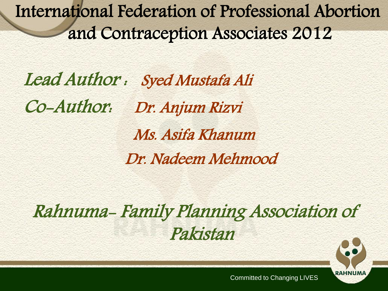International Federation of Professional Abortion and Contraception Associates 2012

Lead Author : Syed Mustafa Ali Co-Author: Dr. Anjum Rizvi Ms. Asifa Khanum Dr. Nadeem Mehmood

Rahnuma- Family Planning Association of Pakistan

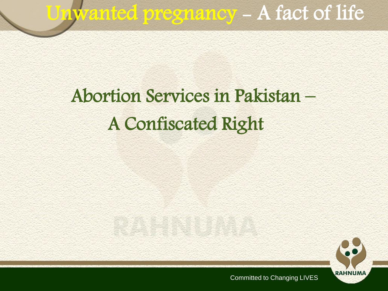# Unwanted pregnancy - A fact of life

### Abortion Services in Pakistan – A Confiscated Right

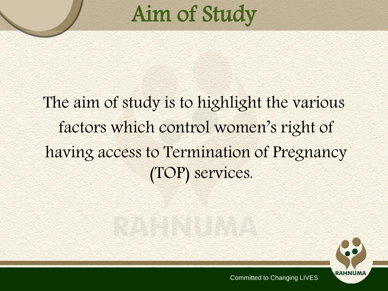# Aim of Study

### The aim of study is to highlight the various factors which control women's right of having access to Termination of Pregnancy (TOP) services.

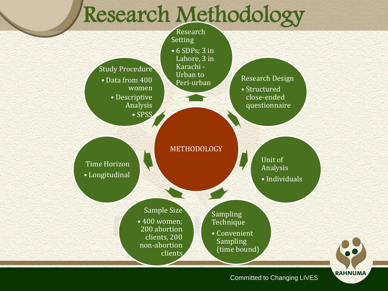### Research Methodology

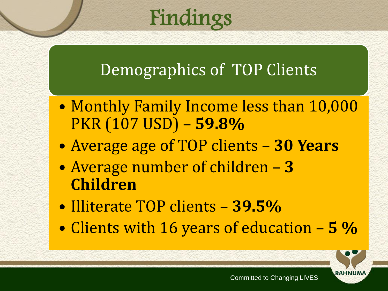## Findings

### Demographics of TOP Clients

- Monthly Family Income less than 10,000 PKR (107 USD) – **59.8%**
- Average age of TOP clients **30 Years**
- Average number of children **3 Children**
- Illiterate TOP clients **39.5%**
- Clients with 16 years of education **5 %**

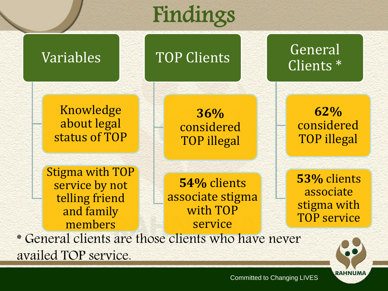## Findings



Committed to Changing LIVES

**RAHNUMA**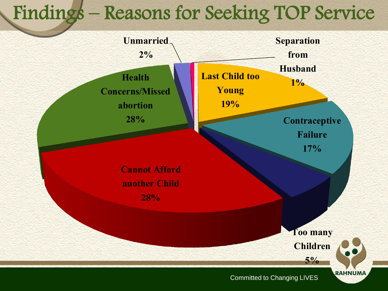### Findings – Reasons for Seeking TOP Service

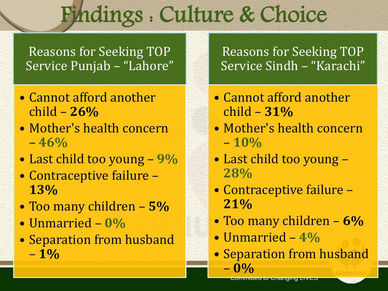# Findings : Culture & Choice

Reasons for Seeking TOP Service Punjab – "Lahore"

- Cannot afford another child – **26%**
- Mother's health concern – **46%**
- Last child too young **9%**
- Contraceptive failure **13%**
- Too many children **5%**
- Unmarried **0%**
- Separation from husband – **1%**

Reasons for Seeking TOP Service Sindh – "Karachi"

- Cannot afford another child – **31%**
- Mother's health concern – **10%**
- Last child too young **28%**
- Contraceptive failure **21%**
- Too many children **6%**
- Unmarried **4%**
- Separation from husband – **0%**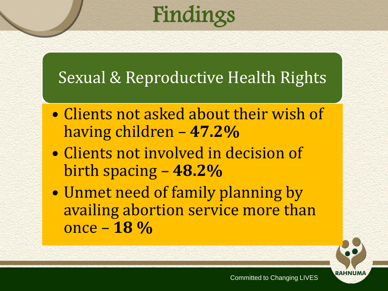# Findings

#### Sexual & Reproductive Health Rights

- Clients not asked about their wish of having children – **47.2%**
- Clients not involved in decision of birth spacing – **48.2%**
- Unmet need of family planning by availing abortion service more than once – **18 %**

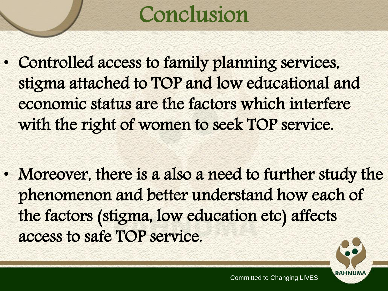# Conclusion

• Controlled access to family planning services, stigma attached to TOP and low educational and economic status are the factors which interfere with the right of women to seek TOP service.

• Moreover, there is a also a need to further study the phenomenon and better understand how each of the factors (stigma, low education etc) affects access to safe TOP service.

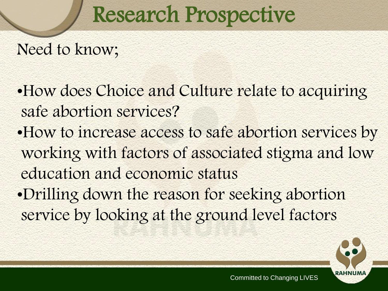## Research Prospective

#### Need to know;

- •How does Choice and Culture relate to acquiring safe abortion services?
- •How to increase access to safe abortion services by working with factors of associated stigma and low education and economic status
- •Drilling down the reason for seeking abortion service by looking at the ground level factors